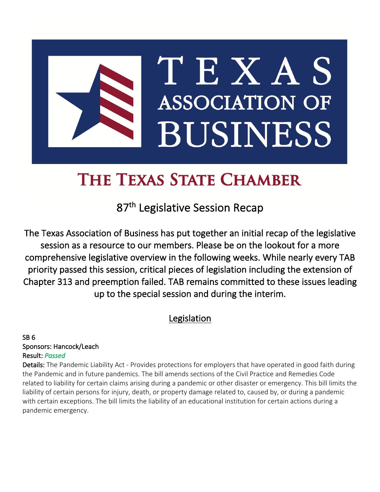# TEXAS **ASSOCIATION OF BUSINESS**

# THE TEXAS STATE CHAMBER

87<sup>th</sup> Legislative Session Recap

The Texas Association of Business has put together an initial recap of the legislative session as a resource to our members. Please be on the lookout for a more comprehensive legislative overview in the following weeks. While nearly every TAB priority passed this session, critical pieces of legislation including the extension of Chapter 313 and preemption failed. TAB remains committed to these issues leading up to the special session and during the interim.

# Legislation

SB 6 Sponsors: Hancock/Leach Result: *Passed* 

Details: The Pandemic Liability Act - Provides protections for employers that have operated in good faith during the Pandemic and in future pandemics. The bill amends sections of the Civil Practice and Remedies Code related to liability for certain claims arising during a pandemic or other disaster or emergency. This bill limits the liability of certain persons for injury, death, or property damage related to, caused by, or during a pandemic with certain exceptions. The bill limits the liability of an educational institution for certain actions during a pandemic emergency.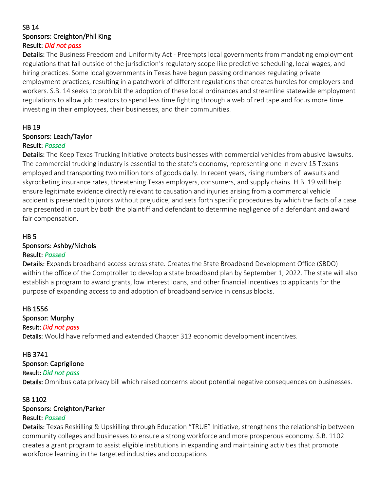#### SB 14 Sponsors: Creighton/Phil King Result: *Did not pass*

Details: The Business Freedom and Uniformity Act - Preempts local governments from mandating employment regulations that fall outside of the jurisdiction's regulatory scope like predictive scheduling, local wages, and hiring practices. Some local governments in Texas have begun passing ordinances regulating private employment practices, resulting in a patchwork of different regulations that creates hurdles for employers and workers. S.B. 14 seeks to prohibit the adoption of these local ordinances and streamline statewide employment regulations to allow job creators to spend less time fighting through a web of red tape and focus more time investing in their employees, their businesses, and their communities.

#### HB 19

Sponsors: Leach/Taylor

#### Result: *Passed*

Details: The Keep Texas Trucking Initiative protects businesses with commercial vehicles from abusive lawsuits. The commercial trucking industry is essential to the state's economy, representing one in every 15 Texans employed and transporting two million tons of goods daily. In recent years, rising numbers of lawsuits and skyrocketing insurance rates, threatening Texas employers, consumers, and supply chains. H.B. 19 will help ensure legitimate evidence directly relevant to causation and injuries arising from a commercial vehicle accident is presented to jurors without prejudice, and sets forth specific procedures by which the facts of a case are presented in court by both the plaintiff and defendant to determine negligence of a defendant and award fair compensation.

#### HB 5

#### Sponsors: Ashby/Nichols

#### Result: *Passed*

Details: Expands broadband access across state. Creates the State Broadband Development Office (SBDO) within the office of the Comptroller to develop a state broadband plan by September 1, 2022. The state will also establish a program to award grants, low interest loans, and other financial incentives to applicants for the purpose of expanding access to and adoption of broadband service in census blocks.

#### HB 1556

## Sponsor: Murphy

#### Result: *Did not pass*

Details: Would have reformed and extended Chapter 313 economic development incentives.

#### HB 3741

#### Sponsor: Capriglione

#### Result: *Did not pass*

Details: Omnibus data privacy bill which raised concerns about potential negative consequences on businesses.

#### SB 1102

#### Sponsors: Creighton/Parker

#### Result: *Passed*

Details: Texas Reskilling & Upskilling through Education "TRUE" Initiative, strengthens the relationship between community colleges and businesses to ensure a strong workforce and more prosperous economy. S.B. 1102 creates a grant program to assist eligible institutions in expanding and maintaining activities that promote workforce learning in the targeted industries and occupations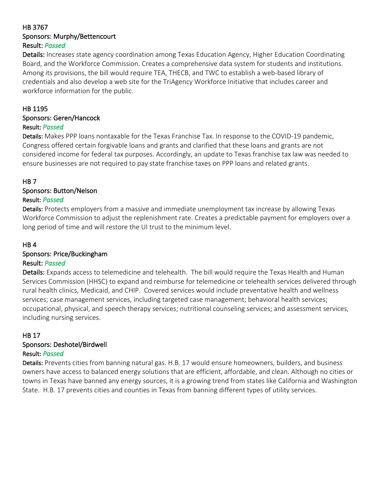#### HB 3767 Sponsors: Murphy/Bettencourt Result: *Passed*

Details: Increases state agency coordination among Texas Education Agency, Higher Education Coordinating Board, and the Workforce Commission. Creates a comprehensive data system for students and institutions. Among its provisions, the bill would require TEA, THECB, and TWC to establish a web-based library of credentials and also develop a web site for the TriAgency Workforce Initiative that includes career and workforce information for the public.

#### HB 1195

# Sponsors: Geren/Hancock

#### Result: *Passed*

Details: Makes PPP loans nontaxable for the Texas Franchise Tax. In response to the COVID-19 pandemic, Congress offered certain forgivable loans and grants and clarified that these loans and grants are not considered income for federal tax purposes. Accordingly, an update to Texas franchise tax law was needed to ensure businesses are not required to pay state franchise taxes on PPP loans and related grants.

#### HB 7

#### Sponsors: Button/Nelson

#### Result: *Passed*

Details: Protects employers from a massive and immediate unemployment tax increase by allowing Texas Workforce Commission to adjust the replenishment rate. Creates a predictable payment for employers over a long period of time and will restore the UI trust to the minimum level.

#### HB 4

#### Sponsors: Price/Buckingham

#### Result: *Passed*

Details: Expands access to telemedicine and telehealth. The bill would require the Texas Health and Human Services Commission (HHSC) to expand and reimburse for telemedicine or telehealth services delivered through rural health clinics, Medicaid, and CHIP. Covered services would include preventative health and wellness services; case management services, including targeted case management; behavioral health services; occupational, physical, and speech therapy services; nutritional counseling services; and assessment services, including nursing services.

#### HB 17

#### Sponsors: Deshotel/Birdwell

#### Result: *Passed*

Details: Prevents cities from banning natural gas. H.B. 17 would ensure homeowners, builders, and business owners have access to balanced energy solutions that are efficient, affordable, and clean. Although no cities or towns in Texas have banned any energy sources, it is a growing trend from states like California and Washington State. H.B. 17 prevents cities and counties in Texas from banning different types of utility services.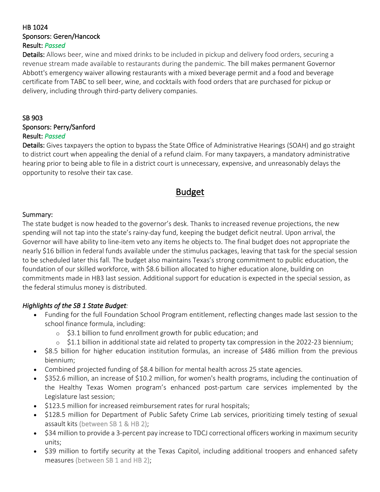#### HB 1024 Sponsors: Geren/Hancock Result: *Passed*

Details: Allows beer, wine and mixed drinks to be included in pickup and delivery food orders, securing a revenue stream made available to restaurants during the pandemic. The bill makes permanent Governor Abbott's emergency waiver allowing restaurants with a mixed beverage permit and a food and beverage certificate from TABC to sell beer, wine, and cocktails with food orders that are purchased for pickup or delivery, including through third-party delivery companies.

#### SB 903

Sponsors: Perry/Sanford Result: *Passed*

Details: Gives taxpayers the option to bypass the State Office of Administrative Hearings (SOAH) and go straight to district court when appealing the denial of a refund claim. For many taxpayers, a mandatory administrative hearing prior to being able to file in a district court is unnecessary, expensive, and unreasonably delays the opportunity to resolve their tax case.

# Budget

#### Summary:

The state budget is now headed to the governor's desk. Thanks to increased revenue projections, the new spending will not tap into the state's rainy-day fund, keeping the budget deficit neutral. Upon arrival, the Governor will have ability to line-item veto any items he objects to. The final budget does not appropriate the nearly \$16 billion in federal funds available under the stimulus packages, leaving that task for the special session to be scheduled later this fall. The budget also maintains Texas's strong commitment to public education, the foundation of our skilled workforce, with \$8.6 billion allocated to higher education alone, building on commitments made in HB3 last session. Additional support for education is expected in the special session, as the federal stimulus money is distributed.

#### *Highlights of the SB 1 State Budget:*

- Funding for the full Foundation School Program entitlement, reflecting changes made last session to the school finance formula, including:
	- o \$3.1 billion to fund enrollment growth for public education; and
	- $\circ$  \$1.1 billion in additional state aid related to property tax compression in the 2022-23 biennium;
- \$8.5 billion for higher education institution formulas, an increase of \$486 million from the previous biennium;
- Combined projected funding of \$8.4 billion for mental health across 25 state agencies.
- \$352.6 million, an increase of \$10.2 million, for women's health programs, including the continuation of the Healthy Texas Women program's enhanced post-partum care services implemented by the Legislature last session;
- \$123.5 million for increased reimbursement rates for rural hospitals;
- \$128.5 million for Department of Public Safety Crime Lab services, prioritizing timely testing of sexual assault kits (between SB 1 & HB 2);
- \$34 million to provide a 3-percent pay increase to TDCJ correctional officers working in maximum security units;
- \$39 million to fortify security at the Texas Capitol, including additional troopers and enhanced safety measures (between SB 1 and HB 2);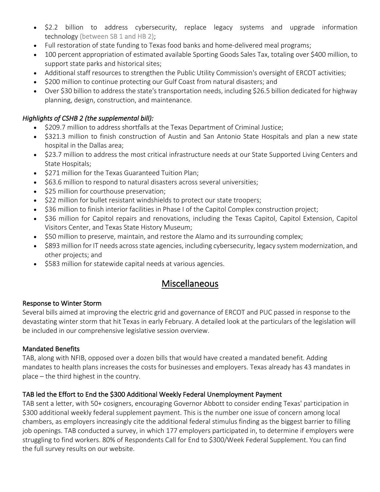- \$2.2 billion to address cybersecurity, replace legacy systems and upgrade information technology (between SB 1 and HB 2);
- Full restoration of state funding to Texas food banks and home-delivered meal programs;
- 100 percent appropriation of estimated available Sporting Goods Sales Tax, totaling over \$400 million, to support state parks and historical sites;
- Additional staff resources to strengthen the Public Utility Commission's oversight of ERCOT activities;
- \$200 million to continue protecting our Gulf Coast from natural disasters; and
- Over \$30 billion to address the state's transportation needs, including \$26.5 billion dedicated for highway planning, design, construction, and maintenance.

#### *Highlights of CSHB 2 (the supplemental bill):*

- \$209.7 million to address shortfalls at the Texas Department of Criminal Justice;
- \$321.3 million to finish construction of Austin and San Antonio State Hospitals and plan a new state hospital in the Dallas area;
- \$23.7 million to address the most critical infrastructure needs at our State Supported Living Centers and State Hospitals;
- \$271 million for the Texas Guaranteed Tuition Plan;
- \$63.6 million to respond to natural disasters across several universities;
- \$25 million for courthouse preservation;
- \$22 million for bullet resistant windshields to protect our state troopers;
- \$36 million to finish interior facilities in Phase I of the Capitol Complex construction project;
- \$36 million for Capitol repairs and renovations, including the Texas Capitol, Capitol Extension, Capitol Visitors Center, and Texas State History Museum;
- \$50 million to preserve, maintain, and restore the Alamo and its surrounding complex;
- \$893 million for IT needs across state agencies, including cybersecurity, legacy system modernization, and other projects; and
- \$583 million for statewide capital needs at various agencies.

# Miscellaneous

#### Response to Winter Storm

Several bills aimed at improving the electric grid and governance of ERCOT and PUC passed in response to the devastating winter storm that hit Texas in early February. A detailed look at the particulars of the legislation will be included in our comprehensive legislative session overview.

#### Mandated Benefits

TAB, along with NFIB, opposed over a dozen bills that would have created a mandated benefit. Adding mandates to health plans increases the costs for businesses and employers. Texas already has 43 mandates in place – the third highest in the country.

#### TAB led the Effort to End the \$300 Additional Weekly Federal Unemployment Payment

TAB sent a letter, with 50+ cosigners, encouraging Governor Abbott to consider ending Texas' participation in \$300 additional weekly federal supplement payment. This is the number one issue of concern among local chambers, as employers increasingly cite the additional federal stimulus finding as the biggest barrier to filling job openings. TAB conducted a survey, in which 177 employers participated in, to determine if employers were struggling to find workers. 80% of Respondents Call for End to \$300/Week Federal Supplement. You can find the full survey results on our website.